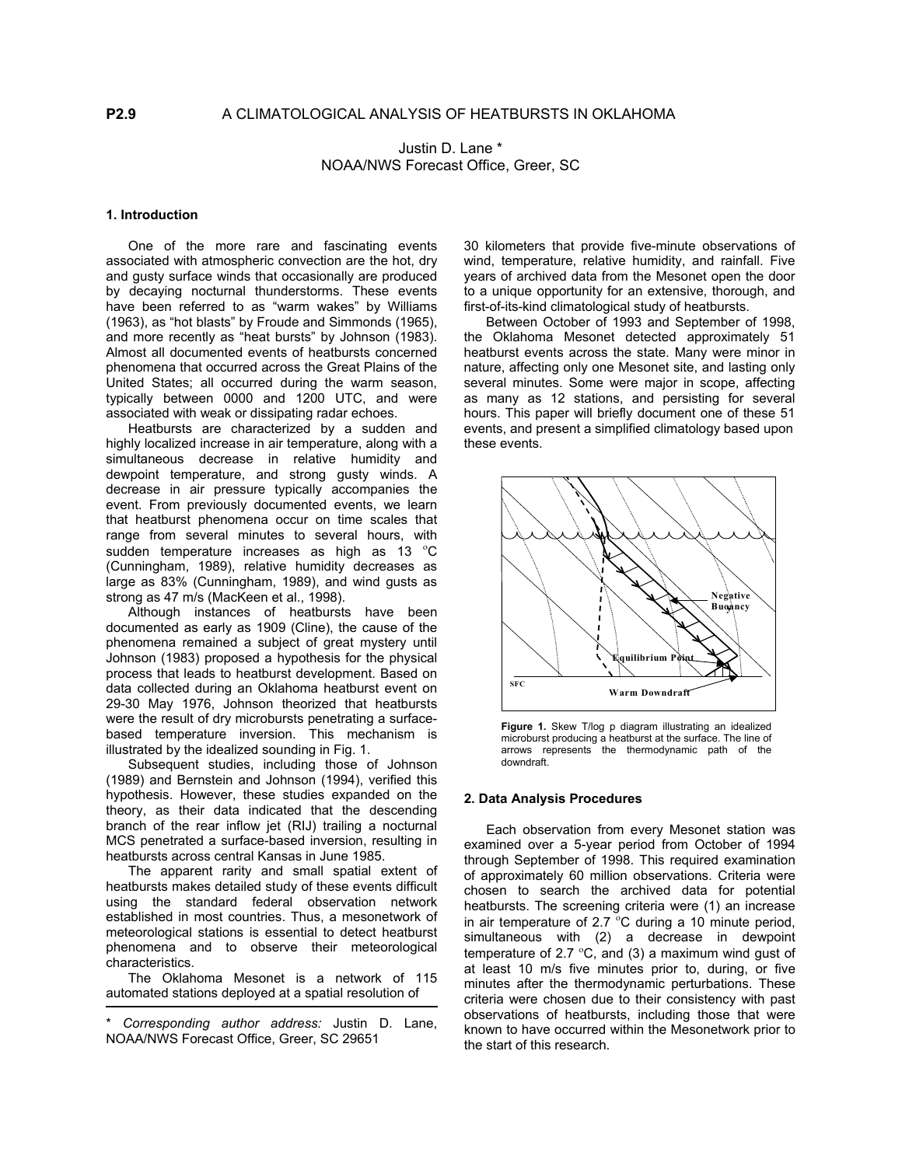Justin D. Lane \* NOAA/NWS Forecast Office, Greer, SC

# **1. Introduction**

One of the more rare and fascinating events associated with atmospheric convection are the hot, dry and gusty surface winds that occasionally are produced by decaying nocturnal thunderstorms. These events have been referred to as "warm wakes" by Williams (1963), as "hot blasts" by Froude and Simmonds (1965), and more recently as "heat bursts" by Johnson (1983). Almost all documented events of heatbursts concerned phenomena that occurred across the Great Plains of the United States; all occurred during the warm season, typically between 0000 and 1200 UTC, and were associated with weak or dissipating radar echoes.

 Heatbursts are characterized by a sudden and highly localized increase in air temperature, along with a simultaneous decrease in relative humidity and dewpoint temperature, and strong gusty winds. A decrease in air pressure typically accompanies the event. From previously documented events, we learn that heatburst phenomena occur on time scales that range from several minutes to several hours, with sudden temperature increases as high as 13  $^{\circ}$ C (Cunningham, 1989), relative humidity decreases as large as 83% (Cunningham, 1989), and wind gusts as strong as 47 m/s (MacKeen et al., 1998).

 Although instances of heatbursts have been documented as early as 1909 (Cline), the cause of the phenomena remained a subject of great mystery until Johnson (1983) proposed a hypothesis for the physical process that leads to heatburst development. Based on data collected during an Oklahoma heatburst event on 29-30 May 1976, Johnson theorized that heatbursts were the result of dry microbursts penetrating a surfacebased temperature inversion. This mechanism is illustrated by the idealized sounding in Fig. 1.

 Subsequent studies, including those of Johnson (1989) and Bernstein and Johnson (1994), verified this hypothesis. However, these studies expanded on the theory, as their data indicated that the descending branch of the rear inflow jet (RIJ) trailing a nocturnal MCS penetrated a surface-based inversion, resulting in heatbursts across central Kansas in June 1985.

The apparent rarity and small spatial extent of heatbursts makes detailed study of these events difficult using the standard federal observation network established in most countries. Thus, a mesonetwork of meteorological stations is essential to detect heatburst phenomena and to observe their meteorological characteristics.

The Oklahoma Mesonet is a network of 115 automated stations deployed at a spatial resolution of

30 kilometers that provide five-minute observations of wind, temperature, relative humidity, and rainfall. Five years of archived data from the Mesonet open the door to a unique opportunity for an extensive, thorough, and first-of-its-kind climatological study of heatbursts.

Between October of 1993 and September of 1998, the Oklahoma Mesonet detected approximately 51 heatburst events across the state. Many were minor in nature, affecting only one Mesonet site, and lasting only several minutes. Some were major in scope, affecting as many as 12 stations, and persisting for several hours. This paper will briefly document one of these 51 events, and present a simplified climatology based upon these events.



**Figure 1.** Skew T/log p diagram illustrating an idealized microburst producing a heatburst at the surface. The line of arrows represents the thermodynamic path of the downdraft.

## **2. Data Analysis Procedures**

 Each observation from every Mesonet station was examined over a 5-year period from October of 1994 through September of 1998. This required examination of approximately 60 million observations. Criteria were chosen to search the archived data for potential heatbursts. The screening criteria were (1) an increase in air temperature of 2.7  $\mathrm{^{\circ}C}$  during a 10 minute period, simultaneous with (2) a decrease in dewpoint temperature of 2.7  $\mathrm{^{\circ}C}$ , and (3) a maximum wind gust of at least 10 m/s five minutes prior to, during, or five minutes after the thermodynamic perturbations. These criteria were chosen due to their consistency with past observations of heatbursts, including those that were known to have occurred within the Mesonetwork prior to the start of this research.

<sup>\*</sup> *Corresponding author address:* Justin D. Lane, NOAA/NWS Forecast Office, Greer, SC 29651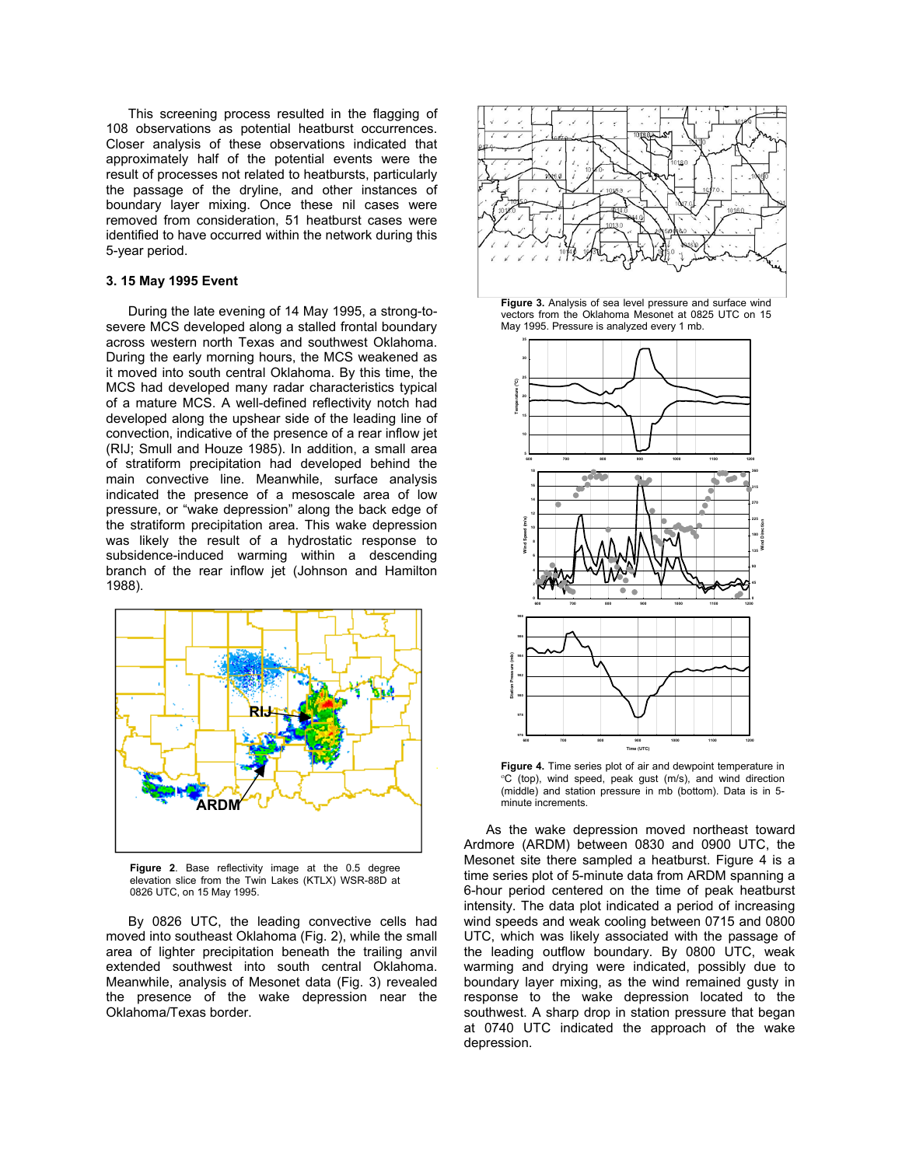This screening process resulted in the flagging of 108 observations as potential heatburst occurrences. Closer analysis of these observations indicated that approximately half of the potential events were the result of processes not related to heatbursts, particularly the passage of the dryline, and other instances of boundary layer mixing. Once these nil cases were removed from consideration, 51 heatburst cases were identified to have occurred within the network during this 5-year period.

# **3. 15 May 1995 Event**

During the late evening of 14 May 1995, a strong-tosevere MCS developed along a stalled frontal boundary across western north Texas and southwest Oklahoma. During the early morning hours, the MCS weakened as it moved into south central Oklahoma. By this time, the MCS had developed many radar characteristics typical of a mature MCS. A well-defined reflectivity notch had developed along the upshear side of the leading line of convection, indicative of the presence of a rear inflow jet (RIJ; Smull and Houze 1985). In addition, a small area of stratiform precipitation had developed behind the main convective line. Meanwhile, surface analysis indicated the presence of a mesoscale area of low pressure, or "wake depression" along the back edge of the stratiform precipitation area. This wake depression was likely the result of a hydrostatic response to subsidence-induced warming within a descending branch of the rear inflow jet (Johnson and Hamilton 1988).



**Figure 2**. Base reflectivity image at the 0.5 degree elevation slice from the Twin Lakes (KTLX) WSR-88D at 0826 UTC, on 15 May 1995.

By 0826 UTC, the leading convective cells had moved into southeast Oklahoma (Fig. 2), while the small area of lighter precipitation beneath the trailing anvil extended southwest into south central Oklahoma. Meanwhile, analysis of Mesonet data (Fig. 3) revealed the presence of the wake depression near the Oklahoma/Texas border.



**Figure 3.** Analysis of sea level pressure and surface wind vectors from the Oklahoma Mesonet at 0825 UTC on 15 May 1995. Pressure is analyzed every 1 mb.



**Figure 4.** Time series plot of air and dewpoint temperature in <sup>o</sup>C (top), wind speed, peak gust (m/s), and wind direction (middle) and station pressure in mb (bottom). Data is in 5-

 As the wake depression moved northeast toward Ardmore (ARDM) between 0830 and 0900 UTC, the Mesonet site there sampled a heatburst. Figure 4 is a time series plot of 5-minute data from ARDM spanning a 6-hour period centered on the time of peak heatburst intensity. The data plot indicated a period of increasing wind speeds and weak cooling between 0715 and 0800 UTC, which was likely associated with the passage of the leading outflow boundary. By 0800 UTC, weak warming and drying were indicated, possibly due to boundary layer mixing, as the wind remained gusty in response to the wake depression located to the southwest. A sharp drop in station pressure that began at 0740 UTC indicated the approach of the wake depression.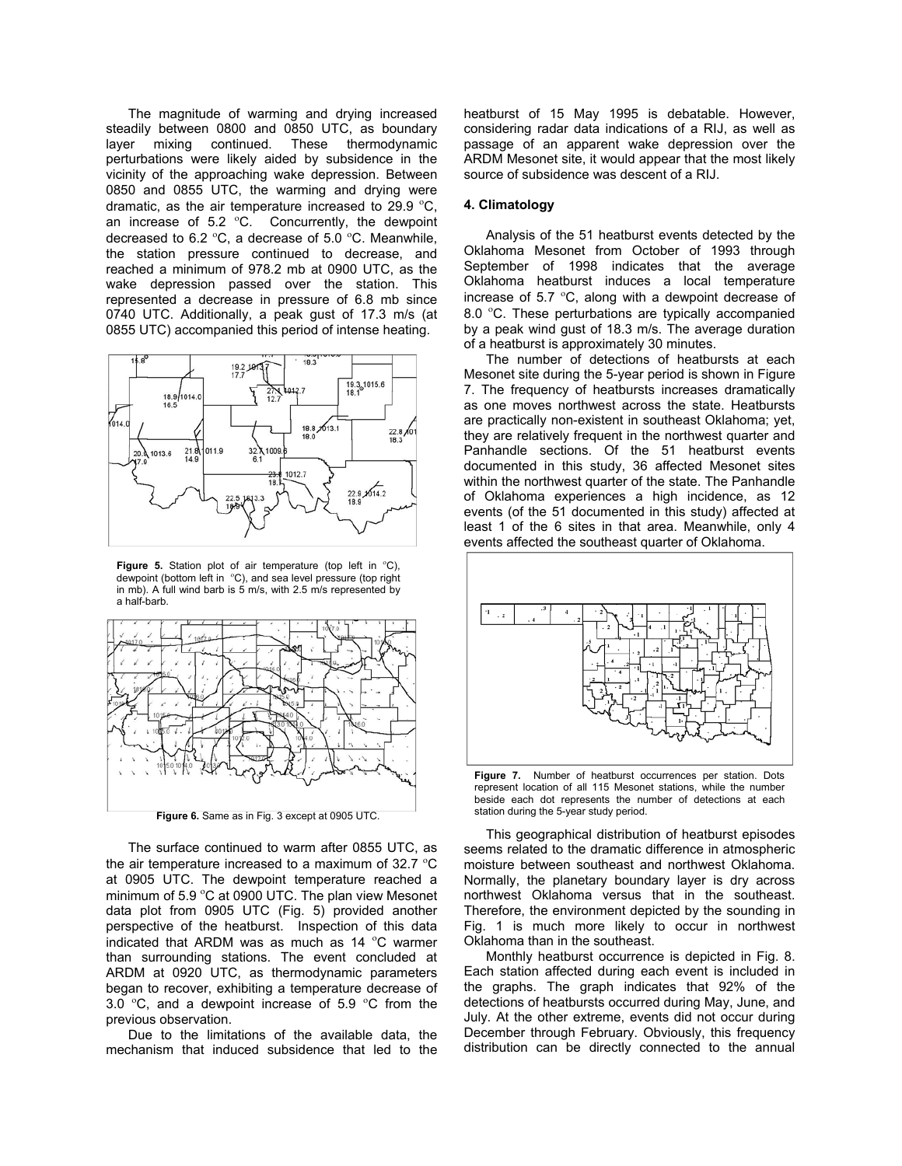The magnitude of warming and drying increased steadily between 0800 and 0850 UTC, as boundary<br>layer mixing continued. These thermodynamic layer mixing continued. perturbations were likely aided by subsidence in the vicinity of the approaching wake depression. Between 0850 and 0855 UTC, the warming and drying were dramatic, as the air temperature increased to 29.9  $\mathrm{^{\circ}C}$ , an increase of 5.2  $^{\circ}$ C. Concurrently, the dewpoint decreased to 6.2  $\mathrm{^{\circ}C}$ , a decrease of 5.0  $\mathrm{^{\circ}C}$ . Meanwhile, the station pressure continued to decrease, and reached a minimum of 978.2 mb at 0900 UTC, as the wake depression passed over the station. This represented a decrease in pressure of 6.8 mb since 0740 UTC. Additionally, a peak gust of 17.3 m/s (at 0855 UTC) accompanied this period of intense heating.



Figure 5. Station plot of air temperature (top left in <sup>o</sup>C), dewpoint (bottom left in <sup>o</sup>C), and sea level pressure (top right in mb). A full wind barb is 5 m/s, with 2.5 m/s represented by a half-barb.



Figure 6. Same as in Fig. 3 except at 0905 UTC.

The surface continued to warm after 0855 UTC, as the air temperature increased to a maximum of 32.7  $^{\circ}$ C at 0905 UTC. The dewpoint temperature reached a minimum of 5.9 °C at 0900 UTC. The plan view Mesonet data plot from 0905 UTC (Fig. 5) provided another perspective of the heatburst. Inspection of this data indicated that ARDM was as much as 14  $^{\circ}$ C warmer than surrounding stations. The event concluded at ARDM at 0920 UTC, as thermodynamic parameters began to recover, exhibiting a temperature decrease of 3.0  $\degree$ C, and a dewpoint increase of 5.9  $\degree$ C from the previous observation.

 Due to the limitations of the available data, the mechanism that induced subsidence that led to the heatburst of 15 May 1995 is debatable. However, considering radar data indications of a RIJ, as well as passage of an apparent wake depression over the ARDM Mesonet site, it would appear that the most likely source of subsidence was descent of a RIJ.

## **4. Climatology**

Analysis of the 51 heatburst events detected by the Oklahoma Mesonet from October of 1993 through September of 1998 indicates that the average Oklahoma heatburst induces a local temperature increase of 5.7  $\mathrm{^{\circ}C}$ , along with a dewpoint decrease of 8.0 °C. These perturbations are typically accompanied by a peak wind gust of 18.3 m/s. The average duration of a heatburst is approximately 30 minutes.

 The number of detections of heatbursts at each Mesonet site during the 5-year period is shown in Figure 7. The frequency of heatbursts increases dramatically as one moves northwest across the state. Heatbursts are practically non-existent in southeast Oklahoma; yet, they are relatively frequent in the northwest quarter and Panhandle sections. Of the 51 heatburst events documented in this study, 36 affected Mesonet sites within the northwest quarter of the state. The Panhandle of Oklahoma experiences a high incidence, as 12 events (of the 51 documented in this study) affected at least 1 of the 6 sites in that area. Meanwhile, only 4 events affected the southeast quarter of Oklahoma.



**Figure 7.** Number of heatburst occurrences per station. Dots represent location of all 115 Mesonet stations, while the number beside each dot represents the number of detections at each station during the 5-year study period.

 This geographical distribution of heatburst episodes seems related to the dramatic difference in atmospheric moisture between southeast and northwest Oklahoma. Normally, the planetary boundary layer is dry across northwest Oklahoma versus that in the southeast. Therefore, the environment depicted by the sounding in Fig. 1 is much more likely to occur in northwest Oklahoma than in the southeast.

Monthly heatburst occurrence is depicted in Fig. 8. Each station affected during each event is included in the graphs. The graph indicates that 92% of the detections of heatbursts occurred during May, June, and July. At the other extreme, events did not occur during December through February. Obviously, this frequency distribution can be directly connected to the annual